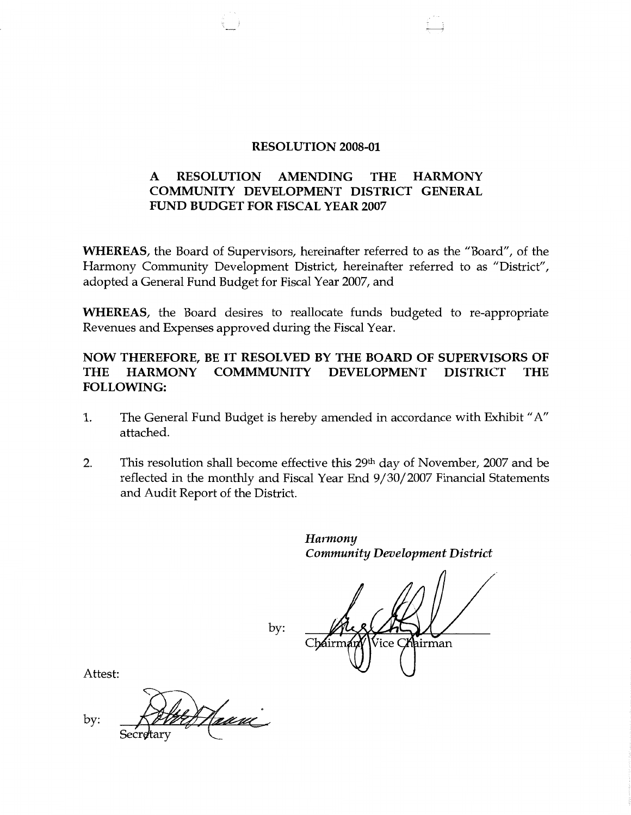### **RESOLUTION 2008-01**

# **A RESOLUTION AMENDING THE HARMONY COMMUNITY DEVELOPMENT DISTRICT GENERAL FUND BUDGET FOR FISCAL YEAR 2007**

**WHEREAS,** the Board of Supervisors, hereinafter referred to as the "Board", of the Harmony Community Development District, hereinafter referred to as "District", adopted a General Fund Budget for Fiscal Year 2007, and

**WHEREAS,** the Board desires to reallocate funds budgeted to re-appropriate Revenues and Expenses approved during the Fiscal Year.

# **NOW THEREFORE, BE IT RESOLVED BY THE BOARD OF SUPERVISORS OF THE HARMONY COMMMUNITY DEVELOPMENT DISTRICT THE FOLLOWING:**

- 1. The General Fund Budget is hereby amended in accordance with Exhibit" A" attached.
- 2. This resolution shall become effective this  $29<sup>th</sup>$  day of November, 2007 and be reflected in the monthly and Fiscal Year End 9/30/2007 Financial Statements and Audit Report of the District.

*Harmony Community Development District* 

 $\mathbf{C}$ irman

by:

Attest:

Haanc by: Secretary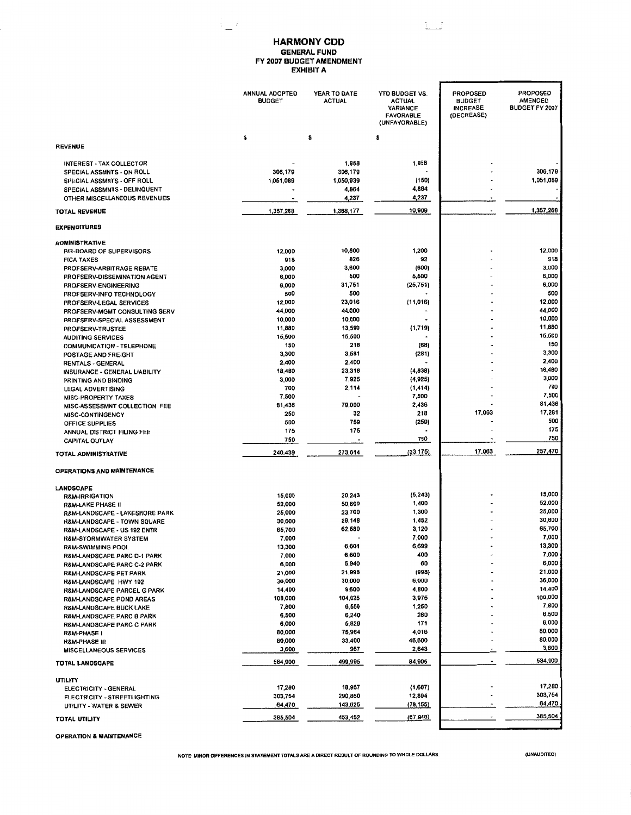#### **HARMONY COD GENERAL FUND FY 2007 BUDGET AMENDMENT EXHIBIT A**

 $1 - 3$ 

 $\frac{1}{2}$  ,  $\frac{1}{2}$ 

|                                                                   | <b>ANNUAL ADOPTED</b><br><b>BUDGET</b> | YEAR TO DATE<br><b>ACTUAL</b> | <b>YTD BUDGET VS.</b><br><b>ACTUAL</b><br><b>VARIANCE</b><br><b>FAVORABLE</b><br>(UNFAVORABLE) | <b>PROPOSED</b><br><b>BUDGET</b><br><b>INCREASE</b><br>(DECREASE) | <b>PROPOSED</b><br><b>AMENDED</b><br>BUDGET FY 2007 |
|-------------------------------------------------------------------|----------------------------------------|-------------------------------|------------------------------------------------------------------------------------------------|-------------------------------------------------------------------|-----------------------------------------------------|
| <b>REVENUE</b>                                                    | \$                                     | \$                            | \$                                                                                             |                                                                   |                                                     |
| INTEREST - TAX COLLECTOR                                          |                                        | 1,958                         | 1,958                                                                                          |                                                                   |                                                     |
| SPECIAL ASSMNTS - ON ROLL                                         | 306,179                                | 306,179                       |                                                                                                |                                                                   | 306,179                                             |
| SPECIAL ASSMNTS - OFF ROLL                                        | 1,051,089                              | 1,050,939<br>4,864            | (160)<br>4,884                                                                                 |                                                                   | 1,051,089                                           |
| SPECIAL ASSMNTS - DELINQUENT<br>OTHER MISCELLANEOUS REVENUES      |                                        | 4,237                         | 4,237                                                                                          |                                                                   |                                                     |
| <b>TOTAL REVENUE</b>                                              | 1,357,268                              | 1,368,177                     | 10,909                                                                                         |                                                                   | 1,357,268                                           |
| <b>EXPENDITURES</b>                                               |                                        |                               |                                                                                                |                                                                   |                                                     |
| <b>ADMINISTRATIVE</b>                                             |                                        |                               |                                                                                                |                                                                   |                                                     |
| P/R-BOARD OF SUPERVISORS                                          | 12,000                                 | 10,800                        | 1,200                                                                                          |                                                                   | 12,000                                              |
| <b>FICA TAXES</b>                                                 | 918                                    | 826                           | 92                                                                                             |                                                                   | 918<br>3,000                                        |
| PROFSERV-ARBITRAGE REBATE                                         | 3,000<br>6,000                         | 3,600<br>500                  | (600)<br>5,500                                                                                 |                                                                   | 6,000                                               |
| PROFSERV-DISSEMINATION AGENT<br>PROFSERV-ENGINEERING              | 8,000                                  | 31,751                        | (25, 751)                                                                                      |                                                                   | 6,000                                               |
| PROFSERV-INFO TECHNOLOGY                                          | 500                                    | 500                           |                                                                                                |                                                                   | 500                                                 |
| PROFSERV-LEGAL SERVICES                                           | 12,000                                 | 23,016                        | (11,016)                                                                                       |                                                                   | 12,000                                              |
| PROFSERV-MGMT CONSULTING SERV                                     | 44,000                                 | 44,000                        |                                                                                                |                                                                   | 44,000                                              |
| PROFSERV-SPECIAL ASSESSMENT                                       | 10,000                                 | 10,000                        |                                                                                                |                                                                   | 10,000<br>11,880                                    |
| PROFSERV-TRUSTEE<br><b>AUDITING SERVICES</b>                      | 11,880<br>15,500                       | 13,599<br>15,500              | (1,719)                                                                                        |                                                                   | 15,500                                              |
| <b>COMMUNICATION - TELEPHONE</b>                                  | 150                                    | 218                           | (68)                                                                                           |                                                                   | 150                                                 |
| POSTAGE AND FREIGHT                                               | 3,300                                  | 3,581                         | (281)                                                                                          |                                                                   | 3,300                                               |
| <b>RENTALS - GENERAL</b>                                          | 2,400                                  | 2,400                         |                                                                                                |                                                                   | 2,400<br>18.480                                     |
| INSURANCE - GENERAL LIABILITY                                     | 18,480                                 | 23,318<br>7,925               | (4,838)<br>(4,925)                                                                             |                                                                   | 3,000                                               |
| PRINTING AND BINDING<br><b>LEGAL ADVERTISING</b>                  | 3,000<br>700                           | 2,114                         | (1, 414)                                                                                       |                                                                   | 700                                                 |
| <b>MISC-PROPERTY TAXES</b>                                        | 7,500                                  |                               | 7,500                                                                                          |                                                                   | 7,500                                               |
| MISC-ASSESSMNT COLLECTION FEE                                     | 81,436                                 | 79,000                        | 2,436                                                                                          |                                                                   | 81,436                                              |
| <b>MISC-CONTINGENCY</b>                                           | 250                                    | 32                            | 218                                                                                            | 17,063                                                            | 17,281                                              |
| OFFICE SUPPLIES                                                   | 500                                    | 759                           | (259)                                                                                          |                                                                   | 500<br>175                                          |
| ANNUAL DISTRICT FILING FEE<br>CAPITAL OUTLAY                      | 175<br>750                             | 175                           | 750                                                                                            |                                                                   | 750                                                 |
| TOTAL ADMINISTRATIVE                                              | 240,439                                | 273,614                       | (33, 175)                                                                                      | 17,083                                                            | 257,470                                             |
| OPERATIONS AND MAINTENANCE                                        |                                        |                               |                                                                                                |                                                                   |                                                     |
| LANDSCAPE                                                         |                                        |                               |                                                                                                |                                                                   |                                                     |
| <b>R&amp;M-IRRIGATION</b>                                         | 15,000                                 | 20,243                        | (5, 243)                                                                                       |                                                                   | 15,000<br>52,000                                    |
| <b>R&amp;M-LAKE PHASE II</b>                                      | 52,000                                 | 50,600                        | 1,400<br>1,300                                                                                 |                                                                   | 25,000                                              |
| R&M-LANDSCAPE - LAKESHORE PARK                                    | 25,000<br>30,600                       | 23,700<br>29,148              | 1,452                                                                                          |                                                                   | 30,600                                              |
| R&M-LANDSCAPE - TOWN SQUARE<br>R&M-LANDSCAPE - US 192 ENTR        | 65,700                                 | 62,580                        | 3,120                                                                                          |                                                                   | 65,700                                              |
| R&M-STORMWATER SYSTEM                                             | 7,000                                  |                               | 7,000                                                                                          |                                                                   | 7,000                                               |
| <b>R&amp;M-SWIMMING POOL</b>                                      | 13,300                                 | 6,601                         | 6,699                                                                                          |                                                                   | 13,300                                              |
| R&M-LANDSCAPE PARC D-1 PARK                                       | 7,000                                  | 6,600<br>5,940                | 400<br>80                                                                                      |                                                                   | 7,000<br>6,000                                      |
| R&M-LANDSCAPE PARC C-2 PARK<br>R&M-LANDSCAPE PET PARK             | 6,000<br>21,000                        | 21,998                        | (998)                                                                                          |                                                                   | 21,000                                              |
| R&M-LANDSCAPE HWY 192                                             | 36,000                                 | 30,000                        | 6,000                                                                                          |                                                                   | 36,000                                              |
| R&M-LANDSCAPE PARCEL G PARK                                       | 14,400                                 | 9,600                         | 4,800                                                                                          |                                                                   | 14,400                                              |
| R&M-LANDSCAPE POND AREAS                                          | 108,000                                | 104,025                       | 3,975                                                                                          |                                                                   | 108,000<br>7,600                                    |
| <b>R&amp;M-LANDSCAPE BUCK LAKE</b>                                | 7,800<br>6,500                         | 6,550<br>6,240                | 1,250<br>280                                                                                   |                                                                   | 6,500                                               |
| R&M-LANDSCAPE PARC B PARK<br><b>R&amp;M-LANDSCAPE PARC C PARK</b> | 6,000                                  | 5,829                         | 171                                                                                            |                                                                   | 6,000                                               |
| R&M-PHASE I                                                       | 80,000                                 | 75,984                        | 4,016                                                                                          |                                                                   | 80,000                                              |
| <b>R&amp;M-PHASE III</b>                                          | 80,000                                 | 33,400                        | 46,600                                                                                         |                                                                   | 80,000                                              |
| <b>MISCELLANEQUS SERVICES</b>                                     | 3,600                                  | 957                           | 2,643                                                                                          |                                                                   | 3,600<br>584,900                                    |
| TOTAL LANDSCAPE                                                   | 584,900                                | 499,995                       | 84,905                                                                                         |                                                                   |                                                     |
| UTILITY                                                           | 17,280                                 | 18,967                        | (1,687)                                                                                        |                                                                   | 17,280                                              |
| ELECTRICITY - GENERAL<br>FLECTRICITY - STREETLIGHTING             | 303,754                                | 290,860                       | 12,894                                                                                         |                                                                   | 303,754                                             |
| UTILITY - WATER & SEWER                                           | 64,470                                 | 143,625                       | (79, 155)                                                                                      |                                                                   | 64,470                                              |
| TOTAL UTILITY                                                     | 385,504                                | 453,452                       | (67, 948)                                                                                      |                                                                   | 385,504                                             |

OPERATION & **MAINTENANCE** 

**NOTE· MINOR DIFFERENCES IN STAYEMENT TOTALS ARE A DIRECT RESULT OF ROUNDING TO WHOLE DOLLARS.** *(UNAUDITED)*